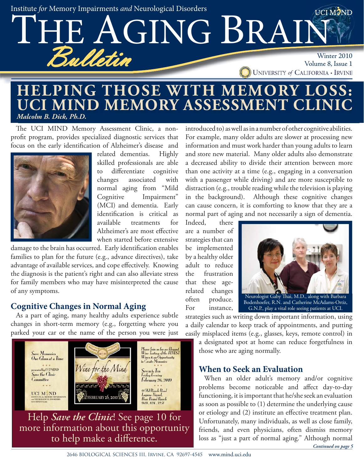

# **HELPING THOSE WITH MEMORY LOSS: UCI MIND MEMORY ASSESSMENT CLINIC** *Malcolm B. Dick, Ph.D.*

The UCI MIND Memory Assessment Clinic, a nonprofit program, provides specialized diagnostic services that focus on the early identification of Alzheimer's disease and



related dementias. Highly skilled professionals are able to differentiate cognitive changes associated with normal aging from "Mild Cognitive Impairment" (MCI) and dementia. Early identification is critical as available treatments for Alzheimer's are most effective when started before extensive

damage to the brain has occurred. Early identification enables families to plan for the future (e.g., advance directives), take advantage of available services, and cope effectively. Knowing the diagnosis is the patient's right and can also alleviate stress for family members who may have misinterpreted the cause of any symptoms.

### **Cognitive Changes in Normal Aging**

As a part of aging, many healthy adults experience subtle changes in short-term memory (e.g., forgetting where you parked your car or the name of the person you were just



Help *Save the Clinic*! See page 10 for more information about this opportunity to help make a difference.

introduced to) as well as in a number of other cognitive abilities. For example, many older adults are slower at processing new information and must work harder than young adults to learn and store new material. Many older adults also demonstrate a decreased ability to divide their attention between more than one activity at a time (e.g., engaging in a conversation with a passenger while driving) and are more susceptible to distraction (e.g., trouble reading while the television is playing in the background). Although these cognitive changes can cause concern, it is comforting to know that they are a normal part of aging and not necessarily a sign of dementia.

Indeed, there are a number of strategies that can be implemented by a healthy older adult to reduce the frustration that these agerelated changes often produce. For instance,



Neurologist Gaby Thai, M.D., along with Barbara Bodenhoefer, R.N. and Catherine McAdams-Ortiz, G.N.P., play a vital role seeing patients at UCI.

strategies such as writing down important information, using a daily calendar to keep track of appointments, and putting easily misplaced items (e.g., glasses, keys, remote control) in

a designated spot at home can reduce forgetfulness in those who are aging normally.

### **When to Seek an Evaluation**

When an older adult's memory and/or cognitive problems become noticeable and affect day-to-day functioning, it is important that he/she seek an evaluation as soon as possible to (1) determine the underlying cause or etiology and (2) institute an effective treatment plan. Unfortunately, many individuals, as well as close family, friends, and even physicians, often dismiss memory loss as "just a part of normal aging." Although normal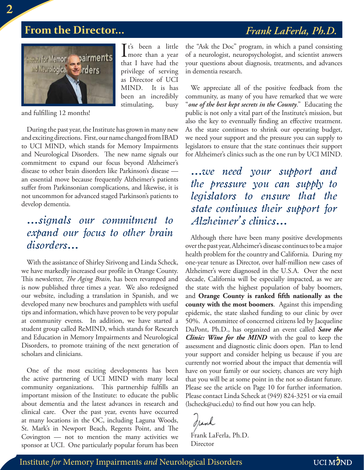# From the Director... **Figure 2 Figure 2 Figure 2 Figure 2** *Frank LaFerla, Ph.D.*



and fulfilling 12 months!

During the past year, the Institute has grown in many new and exciting directions. First, our name changed from IBAD to UCI MIND, which stands for Memory Impairments and Neurological Disorders. The new name signals our commitment to expand our focus beyond Alzheimer's disease to other brain disorders like Parkinson's disease an essential move because frequently Alzheimer's patients suffer from Parkinsonian complications, and likewise, it is not uncommon for advanced staged Parkinson's patients to develop dementia.

# *...signals our commitment to expand our focus to other brain disorders...*

With the assistance of Shirley Sirivong and Linda Scheck, we have markedly increased our profile in Orange County. This newsletter, *The Aging Brain*, has been revamped and is now published three times a year. We also redesigned our website, including a translation in Spanish, and we developed many new brochures and pamphlets with useful tips and information, which have proven to be very popular at community events. In addition, we have started a student group called ReMIND, which stands for Research and Education in Memory Impairments and Neurological Disorders, to promote training of the next generation of scholars and clinicians.

One of the most exciting developments has been the active partnering of UCI MIND with many local community organizations. This partnership fulfills an important mission of the Institute: to educate the public about dementia and the latest advances in research and clinical care. Over the past year, events have occurred at many locations in the OC, including Laguna Woods, St. Mark's in Newport Beach, Regents Point, and The Covington — not to mention the many activities we sponsor at UCI. One particularly popular forum has been

 $\int_{0}^{\dot{t}} \vec{s}$  been a little more than a year that I have had the privilege of serving as Director of UCI MIND. It is has been an incredibly stimulating, busy

the "Ask the Doc" program, in which a panel consisting of a neurologist, neuropsychologist, and scientist answers your questions about diagnosis, treatments, and advances in dementia research.

We appreciate all of the positive feedback from the community, as many of you have remarked that we were "*one of the best kept secrets in the County*." Educating the public is not only a vital part of the Institute's mission, but also the key to eventually finding an effective treatment. As the state continues to shrink our operating budget, we need your support and the pressure you can supply to legislators to ensure that the state continues their support for Alzheimer's clinics such as the one run by UCI MIND.

*...we need your support and the pressure you can supply to legislators to ensure that the state continues their support for Alzheimer's clinics...*

Although there have been many positive developments over the past year, Alzheimer's disease continues to be a major health problem for the country and California. During my one-year tenure as Director, over half-million new cases of Alzheimer's were diagnosed in the U.S.A. Over the next decade, California will be especially impacted, as we are the state with the highest population of baby boomers, and Orange County is ranked fifth nationally as the **county with the most boomers**. Against this impending epidemic, the state slashed funding to our clinic by over 50%. A committee of concerned citizens led by Jacqueline DuPont, Ph.D., has organized an event called *Save the Clinic: Wine for the MIND* with the goal to keep the assessment and diagnostic clinic doors open. Plan to lend your support and consider helping us because if you are currently not worried about the impact that dementia will have on your family or our society, chances are very high that you will be at some point in the not so distant future. Please see the article on Page 10 for further information. Please contact Linda Scheck at (949) 824-3251 or via email  $($ lscheck@uci.edu) to find out how you can help.

tranh

Frank LaFerla, Ph.D. **Director**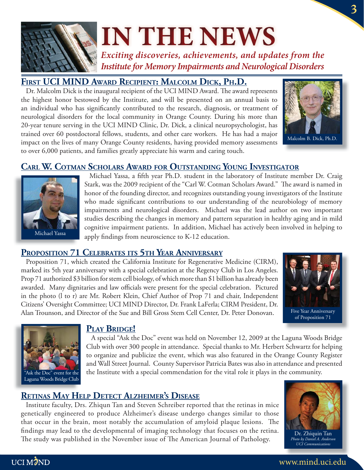

### FIRST UCI MIND AWARD RECIPIENT: MALCOLM DICK, PH.D.

Dr. Malcolm Dick is the inaugural recipient of the UCI MIND Award. The award represents the highest honor bestowed by the Institute, and will be presented on an annual basis to an individual who has significantly contributed to the research, diagnosis, or treatment of neurological disorders for the local community in Orange County. During his more than 20-year tenure serving in the UCI MIND Clinic, Dr. Dick, a clinical neuropsychologist, has trained over 60 postdoctoral fellows, students, and other care workers. He has had a major impact on the lives of many Orange County residents, having provided memory assessments to over 6,000 patients, and families greatly appreciate his warm and caring touch.



### **CARL W. COTMAN SCHOLARS AWARD FOR OUTSTANDING YOUNG INVESTIGATOR**



Michael Yassa, a fifth year Ph.D. student in the laboratory of Institute member Dr. Craig Stark, was the 2009 recipient of the "Carl W. Cotman Scholars Award." The award is named in honor of the founding director, and recognizes outstanding young investigators of the Institute who made significant contributions to our understanding of the neurobiology of memory impairments and neurological disorders. Michael was the lead author on two important studies describing the changes in memory and pattern separation in healthy aging and in mild cognitive impairment patients. In addition, Michael has actively been involved in helping to apply findings from neuroscience to K-12 education.

### **PROPOSITION 71 CELEBRATES ITS 5TH YEAR ANNIVERSARY**

Proposition 71, which created the California Institute for Regenerative Medicine (CIRM), marked its 5th year anniversary with a special celebration at the Regency Club in Los Angeles. Prop 71 authorized \$3 billion for stem cell biology, of which more than \$1 billion has already been awarded. Many dignitaries and law officials were present for the special celebration. Pictured in the photo (l to r) are Mr. Robert Klein, Chief Author of Prop 71 and chair, Independent Citizens' Oversight Committee; UCI MIND Director, Dr. Frank LaFerla; CIRM President, Dr. Alan Trounson, and Director of the Sue and Bill Gross Stem Cell Center, Dr. Peter Donovan.





### **PLAY BRIDGE!**

A special "Ask the Doc" event was held on November 12, 2009 at the Laguna Woods Bridge Club with over 300 people in attendance. Special thanks to Mr. Herbert Schwartz for helping to organize and publicize the event, which was also featured in the Orange County Register and Wall Street Journal. County Supervisor Patricia Bates was also in attendance and presented the Institute with a special commendation for the vital role it plays in the community.

### **RETINAS MAY HELP DETECT ALZHEIMER'S DISEASE**

Institute faculty, Drs. Zhiqun Tan and Steven Schreiber reported that the retinas in mice genetically engineered to produce Alzheimer's disease undergo changes similar to those that occur in the brain, most notably the accumulation of amyloid plaque lesions. The findings may lead to the developmental of imaging technology that focuses on the retina. The study was published in the November issue of The American Journal of Pathology.



*Photo by Daniel A. Anderson UCI Communications*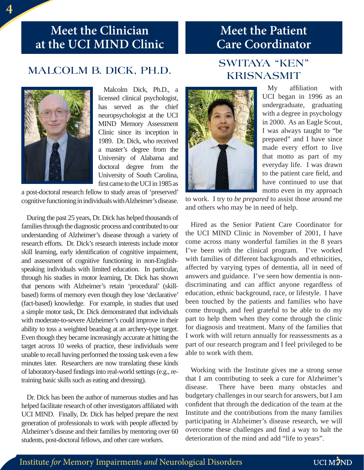# **Meet the Clinician at the UCI MIND Clinic**

# **MALCOLM B. DICK, PH.D.**



Malcolm Dick, Ph.D., a licensed clinical psychologist, has served as the chief neuropsychologist at the UCI MIND Memory Assessment Clinic since its inception in 1989. Dr. Dick, who received a master's degree from the University of Alabama and doctoral degree from the University of South Carolina, first came to the UCI in 1985 as

a post-doctoral research fellow to study areas of 'preserved' cognitive functioning in individuals with Alzheimer's disease.

During the past 25 years, Dr. Dick has helped thousands of families through the diagnostic process and contributed to our understanding of Alzheimer's disease through a variety of research efforts. Dr. Dick's research interests include motor skill learning, early identification of cognitive impairment, and assessment of cognitive functioning in non-Englishspeaking individuals with limited education. In particular, through his studies in motor learning, Dr. Dick has shown that persons with Alzheimer's retain 'procedural' (skillbased) forms of memory even though they lose 'declarative' (fact-based) knowledge. For example, in studies that used a simple motor task, Dr. Dick demonstrated that individuals with moderate-to-severe Alzheimer's could improve in their ability to toss a weighted beanbag at an archery-type target. Even though they became increasingly accurate at hitting the target across 10 weeks of practice, these individuals were unable to recall having performed the tossing task even a few minutes later. Researchers are now translating these kinds of laboratory-based findings into real-world settings (e.g., retraining basic skills such as eating and dressing).

Dr. Dick has been the author of numerous studies and has helped facilitate research of other investigators affiliated with UCI MIND. Finally, Dr. Dick has helped prepare the next generation of professionals to work with people affected by Alzheimer's disease and their families by mentoring over 60 students, post-doctoral fellows, and other care workers.

# **Meet the Patient Care Coordinator**

# **SWITAYA "KEN" KRISNASMIT**



My affiliation with UCI began in 1996 as an undergraduate, graduating with a degree in psychology in 2000. As an Eagle Scout, I was always taught to "be prepared" and I have since made every effort to live that motto as part of my everyday life. I was drawn to the patient care field, and have continued to use that motto even in my approach

to work. I try to *be prepared* to assist those around me and others who may be in need of help.

Hired as the Senior Patient Care Coordinator for the UCI MIND Clinic in November of 2001, I have come across many wonderful families in the 8 years I've been with the clinical program. I've worked with families of different backgrounds and ethnicities, affected by varying types of dementia, all in need of answers and guidance. I've seen how dementia is nondiscriminating and can afflict anyone regardless of education, ethnic background, race, or lifestyle. I have been touched by the patients and families who have come through, and feel grateful to be able to do my part to help them when they come through the clinic for diagnosis and treatment. Many of the families that I work with will return annually for reassessments as a part of our research program and I feel privileged to be able to work with them.

Working with the Institute gives me a strong sense that I am contributing to seek a cure for Alzheimer's disease. There have been many obstacles and budgetary challenges in our search for answers, but I am confident that through the dedication of the team at the Institute and the contributions from the many families participating in Alzheimer's disease research, we will overcome these challenges and find a way to halt the deterioration of the mind and add "life to years".

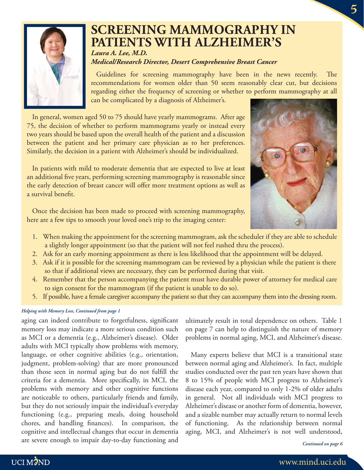

## **SCREENING MAMMOGRAPHY IN PATIENTS WITH ALZHEIMER'S**  *Laura A. Lee, M.D.*

### *Medical/Research Director, Desert Comprehensive Breast Cancer*

Guidelines for screening mammography have been in the news recently. The recommendations for women older than 50 seem reasonably clear cut, but decisions regarding either the frequency of screening or whether to perform mammography at all can be complicated by a diagnosis of Alzheimer's.

In general, women aged 50 to 75 should have yearly mammograms. After age 75, the decision of whether to perform mammograms yearly or instead every two years should be based upon the overall health of the patient and a discussion between the patient and her primary care physician as to her preferences. Similarly, the decision in a patient with Alzheimer's should be individualized.

In patients with mild to moderate dementia that are expected to live at least an additional five years, performing screening mammography is reasonable since the early detection of breast cancer will offer more treatment options as well as a survival benefit.

Once the decision has been made to proceed with screening mammography, here are a few tips to smooth your loved one's trip to the imaging center:



- 1. When making the appointment for the screening mammogram, ask the scheduler if they are able to schedule a slightly longer appointment (so that the patient will not feel rushed thru the process).
- 2. Ask for an early morning appointment as there is less likelihood that the appointment will be delayed.
- 3. Ask if it is possible for the screening mammogram can be reviewed by a physician while the patient is there so that if additional views are necessary, they can be performed during that visit.
- 4. Remember that the person accompanying the patient must have durable power of attorney for medical care to sign consent for the mammogram (if the patient is unable to do so).
- 5. If possible, have a female caregiver accompany the patient so that they can accompany them into the dressing room.

#### *Helping with Memory Loss, Continued from page 1*

aging can indeed contribute to forgetfulness, significant memory loss may indicate a more serious condition such as MCI or a dementia (e.g., Alzheimer's disease). Older adults with MCI typically show problems with memory, language, or other cognitive abilities (e.g., orientation, judgment, problem-solving) that are more pronounced than those seen in normal aging but do not fulfill the criteria for a dementia. More specifically, in MCI, the problems with memory and other cognitive functions are noticeable to others, particularly friends and family, but they do not seriously impair the individual's everyday functioning (e.g., preparing meals, doing household chores, and handling finances). In comparison, the cognitive and intellectual changes that occur in dementia are severe enough to impair day-to-day functioning and

ultimately result in total dependence on others. Table 1 on page 7 can help to distinguish the nature of memory problems in normal aging, MCI, and Alzheimer's disease.

Many experts believe that MCI is a transitional state between normal aging and Alzheimer's. In fact, multiple studies conducted over the past ten years have shown that 8 to 15% of people with MCI progress to Alzheimer's disease each year, compared to only 1-2% of older adults in general. Not all individuals with MCI progress to Alzheimer's disease or another form of dementia, however, and a sizable number may actually return to normal levels of functioning. As the relationship between normal aging, MCI, and Alzheimer's is not well understood,

*Continued on page 6*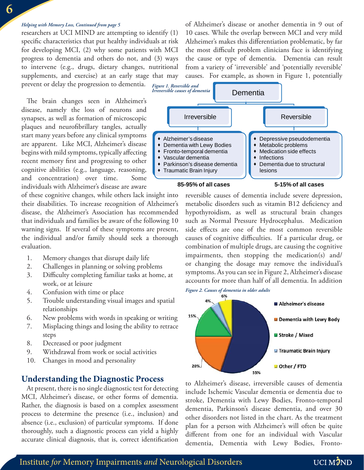#### *Helping with Memory Loss, Continued from page 5*

researchers at UCI MIND are attempting to identify (1) specific characteristics that put healthy individuals at risk for developing MCI, (2) why some patients with MCI progress to dementia and others do not, and (3) ways to intervene (e.g., drugs, dietary changes, nutritional supplements, and exercise) at an early stage that may prevent or delay the progression to dementia.

The brain changes seen in Alzheimer's disease, namely the loss of neurons and synapses, as well as formation of microscopic plaques and neurofibrillary tangles, actually start many years before any clinical symptoms are apparent. Like MCI, Alzheimer's disease begins with mild symptoms, typically affecting recent memory first and progressing to other cognitive abilities (e.g., language, reasoning, and concentration) over time. Some individuals with Alzheimer's disease are aware

of these cognitive changes, while others lack insight into their disabilities. To increase recognition of Alzheimer's disease, the Alzheimer's Association has recommended that individuals and families be aware of the following 10 warning signs. If several of these symptoms are present, the individual and/or family should seek a thorough evaluation.

- 1. Memory changes that disrupt daily life
- 2. Challenges in planning or solving problems
- 3. Difficulty completing familiar tasks at home, at work, or at leisure
- 4. Confusion with time or place
- 5. Trouble understanding visual images and spatial relationships
- 6. New problems with words in speaking or writing
- 7. Misplacing things and losing the ability to retrace steps
- 8. Decreased or poor judgment
- 9. Withdrawal from work or social activities
- 10. Changes in mood and personality

#### **Understanding the Diagnostic Process**

At present, there is no single diagnostic test for detecting MCI, Alzheimer's disease, or other forms of dementia. Rather, the diagnosis is based on a complex assessment process to determine the presence (i.e., inclusion) and absence (i.e., exclusion) of particular symptoms. If done thoroughly, such a diagnostic process can yield a highly accurate clinical diagnosis, that is, correct identification

of Alzheimer's disease or another dementia in 9 out of 10 cases. While the overlap between MCI and very mild Alzheimer's makes this differentiation problematic, by far the most difficult problem clinicians face is identifying the cause or type of dementia. Dementia can result from a variety of 'irreversible' and 'potentially reversible' causes. For example, as shown in Figure 1, potentially



#### **85-95% of all cases 5-15% of all cases**

reversible causes of dementia include severe depression, metabolic disorders such as vitamin B12 deficiency and hypothyroidism, as well as structural brain changes such as Normal Pressure Hydrocephalus. Medication side effects are one of the most common reversible causes of cognitive difficulties. If a particular drug, or combination of multiple drugs, are causing the cognitive impairments, then stopping the medication(s) and/ or changing the dosage may remove the individual's symptoms. As you can see in Figure 2, Alzheimer's disease accounts for more than half of all dementia. In addition





to Alzheimer's disease, irreversible causes of dementia include Ischemic Vascular dementia or dementia due to stroke, Dementia with Lewy Bodies, Fronto-temporal dementia, Parkinson's disease dementia, and over 30 other disorders not listed in the chart. As the treatment plan for a person with Alzheimer's will often be quite different from one for an individual with Vascular dementia, Dementia with Lewy Bodies, Fronto-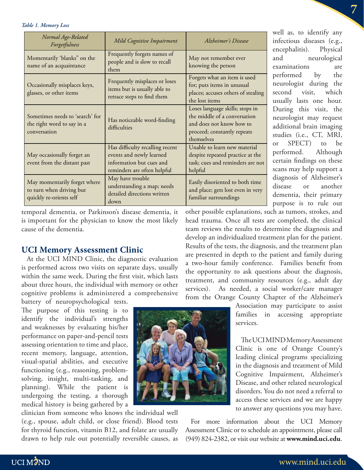#### *Table 1. Memory Loss*

| Normal Age-Related<br>Forgetfulness                                                 | Mild Cognitive Impairment                                                                                              | Alzheimer's Disease                                                                                                                      |
|-------------------------------------------------------------------------------------|------------------------------------------------------------------------------------------------------------------------|------------------------------------------------------------------------------------------------------------------------------------------|
| Momentarily 'blanks" on the<br>name of an acquaintance                              | Frequently forgets names of<br>people and is slow to recall<br>them                                                    | May not remember ever<br>knowing the person                                                                                              |
| Occasionally misplaces keys,<br>glasses, or other items                             | Frequently misplaces or loses<br>items but is usually able to<br>retrace steps to find them                            | Forgets what an item is used<br>for; puts items in unusual<br>places; accuses others of stealing<br>the lost items                       |
| Sometimes needs to 'search' for<br>the right word to say in a<br>conversation       | Has noticeable word-finding<br>difficulties                                                                            | Loses language skills; stops in<br>the middle of a conversation<br>and does not know how to<br>proceed; constantly repeats<br>themselves |
| May occasionally forget an<br>event from the distant past                           | Has difficulty recalling recent<br>events and newly learned<br>information but cues and<br>reminders are often helpful | Unable to learn new material<br>despite repeated practice at the<br>task; cues and reminders are not<br>helpful                          |
| May momentarily forget where<br>to turn when driving but<br>quickly re-orients self | May have trouble<br>understanding a map; needs<br>detailed directions written<br>down                                  | Easily disoriented to both time<br>and place; gets lost even in very<br>familiar surroundings                                            |

well as, to identify any infectious diseases (e.g., encephalitis). Physical and neurological examinations are performed by the neurologist during the second visit, which usually lasts one hour. During this visit, the neurologist may request additional brain imaging studies (i.e., CT, MRI, or SPECT) to be performed. Although certain findings on these scans may help support a diagnosis of Alzheimer's disease or another dementia, their primary purpose is to rule out

temporal dementia, or Parkinson's disease dementia, it is important for the physician to know the most likely cause of the dementia.

### **UCI Memory Assessment Clinic**

At the UCI MIND Clinic, the diagnostic evaluation is performed across two visits on separate days, usually within the same week. During the first visit, which lasts about three hours, the individual with memory or other cognitive problems is administered a comprehensive

battery of neuropsychological tests. The purpose of this testing is to identify the individual's strengths and weaknesses by evaluating his/her performance on paper-and-pencil tests assessing orientation to time and place, recent memory, language, attention, visual-spatial abilities, and executive functioning (e.g., reasoning, problemsolving, insight, multi-tasking, and planning). While the patient is undergoing the testing, a thorough medical history is being gathered by a

clinician from someone who knows the individual well (e.g., spouse, adult child, or close friend). Blood tests for thyroid function, vitamin B12, and folate are usually drawn to help rule out potentially reversible causes, as

other possible explanations, such as tumors, strokes, and head trauma. Once all tests are completed, the clinical team reviews the results to determine the diagnosis and develop an individualized treatment plan for the patient. Results of the tests, the diagnosis, and the treatment plan are presented in depth to the patient and family during a two-hour family conference. Families benefit from the opportunity to ask questions about the diagnosis, treatment, and community resources (e.g., adult day services). As needed, a social worker/care manager from the Orange County Chapter of the Alzheimer's

> Association may participate to assist families in accessing appropriate services.

> The UCI MIND Memory Assessment Clinic is one of Orange County's leading clinical programs specializing in the diagnosis and treatment of Mild Cognitive Impairment, Alzheimer's Disease, and other related neurological disorders. You do not need a referral to access these services and we are happy to answer any questions you may have.

For more information about the UCI Memory Assessment Clinic or to schedule an appointment, please call (949) 824-2382, or visit our website at **www.mind.uci.edu**.



**7**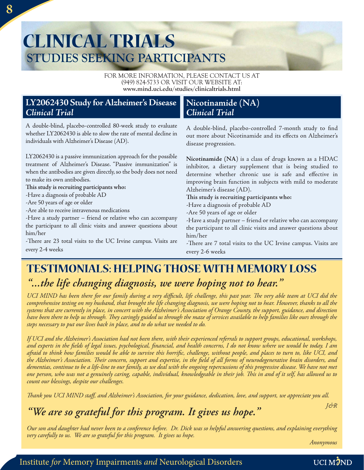# **CLINICAL TRIALS STUDIES SEEKING PARTICIPANTS**

FOR MORE INFORMATION, PLEASE CONTACT US AT (949) 824-5733 OR VISIT OUR WEBSITE AT: **www.mind.uci.edu/studies/clinicaltrials.html**

### **LY2062430 Study for Alzheimer's Disease**  *Clinical Trial*

A double-blind, placebo-controlled 80-week study to evaluate whether LY2062430 is able to slow the rate of mental decline in individuals with Alzheimer's Disease (AD).

LY2062430 is a passive immunization approach for the possible treatment of Alzheimer's Disease. "Passive immunization" is when the antibodies are given directly, so the body does not need to make its own antibodies.

This study is recruiting participants who:

-Have a diagnosis of probable AD

-Are 50 years of age or older

-Are able to receive intravenous medications

-Have a study partner – friend or relative who can accompany the participant to all clinic visits and answer questions about him/her

-There are 23 total visits to the UC Irvine campus. Visits are every 2-4 weeks

## **Nicotinamide (NA)** *Clinical Trial*

A double-blind, placebo-controlled 7-month study to find out more about Nicotinamide and its effects on Alzheimer's disease progression.

**Nicotinamide (NA)** is a class of drugs known as a HDAC inhibitor, a dietary supplement that is being studied to determine whether chronic use is safe and effective in improving brain function in subjects with mild to moderate Alzheimer's disease (AD).

This study is recruiting participants who:

-Have a diagnosis of probable AD

-Are 50 years of age or older

-Have a study partner – friend or relative who can accompany the participant to all clinic visits and answer questions about him/her

-There are 7 total visits to the UC Irvine campus. Visits are every 2-6 weeks

# *"...the life changing diagnosis, we were hoping not to hear."* **TESTIMONIALS: HELPING THOSE WITH MEMORY LOSS**

*UCI MIND has been there for our family during a very difficult, life challenge, this past year. The very able team at UCI did the comprehensive testing on my husband, that brought the life changing diagnosis, we were hoping not to hear. However, thanks to all the systems that are currently in place, in concert with the Alzheimer's Association of Orange County, the support, guidance, and direction have been there to help us through. Th ey caringly guided us through the maze of services available to help families like ours through the steps necessary to put our lives back in place, and to do what we needed to do.*

*If UCI and the Alzheimer's Association had not been there, with their experienced referrals to support groups, educational, workshops,*  and experts in the fields of legal issues, psychological, financial, and health concerns, I do not know where we would be today. I am afraid to think how families would be able to survive this horrific, challenge, without people, and places to turn to, like UCI, and the Alzheimer's Association. Their concern, support and expertise, in the field of all forms of neurodegenerative brain disorders, and *dementias, continue to be a life-line to our family, as we deal with the ongoing repercussions of this progressive disease. We have not met*  one person, who was not a genuinely caring, capable, individual, knowledgeable in their job. This in and of it self, has allowed us to *count our blessings, despite our challenges.*

*Thank you UCI MIND staff, and Alzheimer's Association, for your guidance, dedication, love, and support, we appreciate you all.* 

# *"We are so grateful for this program. It gives us hope."*

*Our son and daughter had never been to a conference before. Dr. Dick was so helpful answering questions, and explaining everything very carefully to us. We are so grateful for this program. It gives us hope.*

*Anonymous*

UCI MAND

*J &R*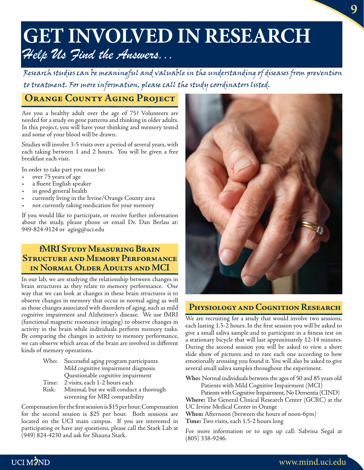# **GET INVOLVED IN RESEARCH**  *Help Us Find the Answers...*

Research studies can be meaningful and valuable in the understanding of diseases from prevention to treatment. For more information, please call the study coordinators listed.

# **ORANGE COUNTY AGING PROJECT**

Are you a healthy adult over the age of 75? Volunteers are needed for a study on gene patterns and thinking in older adults. In this project, you will have your thinking and memory tested and some of your blood will be drawn.

Studies will involve 3-5 visits over a period of several years, with each taking between 1 and 2 hours. You will be given a free breakfast each visit.

In order to take part you must be:

- over 75 years of age
- a fluent English speaker
- in good general health
- currently living in the Irvine/Orange County area
- not currently taking medication for your memory

If you would like to participate, or receive further information about the study, please phone or email Dr. Dan Berlau at: 949-824-9124 or aging@uci.edu

### **fMRI Study Measuring Brain Structure and Memory Performance in Normal Older Adults and MCI**

In our lab, we are studying the relationship between changes in brain structures as they relate to memory performance. One way that we can look at changes in these brain structures is to observe changes in memory that occur in normal aging as well as those changes associated with disorders of aging, such as mild cognitive impairment and Alzheimer's disease. We use fMRI (functional magnetic resonance imaging) to observe changes in activity in the brain while individuals perform memory tasks. By comparing the changes in activity to memory performance, we can observe which areas of the brain are involved in different kinds of memory operations.

- Who: Successful aging program participants Mild cognitive impairment diagnosis Questionable cognitive impairment
- Time: 2 visits, each 1-2 hours each
- Risk: Minimal, but we will conduct a thorough screening for MRI compatibility

Compensation for the first session is \$15 per hour. Compensation for the second session is \$25 per hour. Both sessions are located on the UCI main campus. If you are interested in participating or have any questions, please call the Stark Lab at (949) 824-4230 and ask for Shauna Stark.



### **Physiology and Cognition Research**

We are recruiting for a study that would involve two sessions, each lasting 1.5-2 hours. In the first session you will be asked to give a small saliva sample and to participate in a fitness test on a stationary bicycle that will last approximately 12-14 minutes. During the second session you will be asked to view a short slide show of pictures and to rate each one according to how emotionally arousing you found it. You will also be asked to give several small saliva samples throughout the experiment.

**Who:** Normal individuals between the ages of 50 and 85 years old Patients with Mild Cognitive Impairment (MCI)

 Patients with Cognitive Impairment, No Dementia (CIND) **Where:** The General Clinical Research Center (GCRC) at the UC Irvine Medical Center in Orange

**When:** Afternoon (between the hours of noon-6pm) **Time:** Two visits, each 1.5-2 hours long

For more information or to sign up call: Sabrina Segal at (805) 338-9246.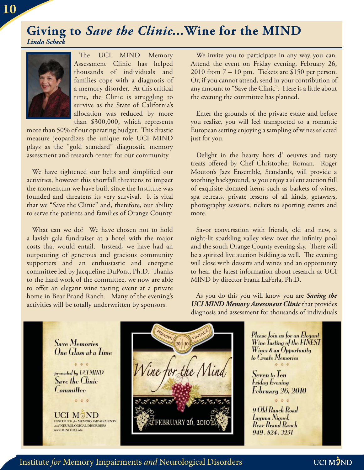### **Giving to** *Save the Clinic...***Wine for the MIND** *Linda Scheck*



**10**

The UCI MIND Memory Assessment Clinic has helped thousands of individuals and families cope with a diagnosis of a memory disorder. At this critical time, the Clinic is struggling to survive as the State of California's allocation was reduced by more than \$300,000, which represents

more than 50% of our operating budget. This drastic measure jeopardizes the unique role UCI MIND plays as the "gold standard" diagnostic memory assessment and research center for our community.

We have tightened our belts and simplified our activities, however this shortfall threatens to impact the momentum we have built since the Institute was founded and threatens its very survival. It is vital that we "Save the Clinic" and, therefore, our ability to serve the patients and families of Orange County.

What can we do? We have chosen not to hold a lavish gala fundraiser at a hotel with the major costs that would entail. Instead, we have had an outpouring of generous and gracious community supporters and an enthusiastic and energetic committee led by Jacqueline DuPont, Ph.D. Thanks to the hard work of the committee, we now are able to offer an elegant wine tasting event at a private home in Bear Brand Ranch. Many of the evening's activities will be totally underwritten by sponsors.

We invite you to participate in any way you can. Attend the event on Friday evening, February 26, 2010 from 7 – 10 pm. Tickets are \$150 per person. Or, if you cannot attend, send in your contribution of any amount to "Save the Clinic". Here is a little about the evening the committee has planned.

Enter the grounds of the private estate and before you realize, you will feel transported to a romantic European setting enjoying a sampling of wines selected just for you.

Delight in the hearty hors d' oeuvres and tasty treats offered by Chef Christopher Roman. Roger Mouton's Jazz Ensemble, Standards, will provide a soothing background, as you enjoy a silent auction full of exquisite donated items such as baskets of wines, spa retreats, private lessons of all kinds, getaways, photography sessions, tickets to sporting events and more.

Savor conversation with friends, old and new, a night-lit sparkling valley view over the infinity pool and the south Orange County evening sky. There will be a spirited live auction bidding as well. The evening will close with desserts and wines and an opportunity to hear the latest information about research at UCI MIND by director Frank LaFerla, Ph.D.

As you do this you will know you are *Saving the UCI MIND Memory Assessment Clinic* that provides diagnosis and assessment for thousands of individuals

> Please Join us for an Elegant Wine Tasting of the FINEST  $W$ ines & an  $O$ pportunity to Create Memories  $0000$

Seven to Ten Friday Evening February 26, 2010

 $\circ$   $\circ$   $\circ$ 

**UCI MAND** 

9 Old Ranch Road Laguna Niguel, **Bear Brand Ranch** 949.824.3251

**Save Memories** One Glass at a Time

presented by UCI MIND Save the Clinic Committee

UCI M7ND INSITIUTE  $\mathcal{M}$  MEMORY IMPAIRMENTS and NEUROLOGICAL DISORDERS www.MIND.UCLedu

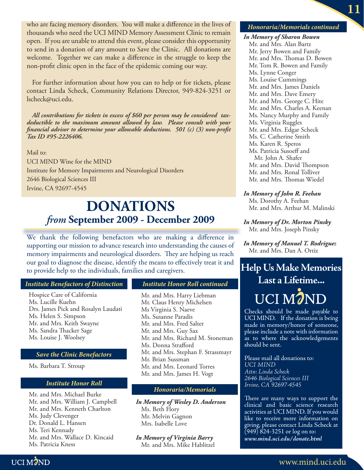who are facing memory disorders. You will make a difference in the lives of thousands who need the UCI MIND Memory Assessment Clinic to remain open. If you are unable to attend this event, please consider this opportunity to send in a donation of any amount to Save the Clinic. All donations are welcome. Together we can make a difference in the struggle to keep the non-profit clinic open in the face of the epidemic coming our way.

For further information about how you can to help or for tickets, please contact Linda Scheck, Community Relations Director, 949-824-3251 or lscheck@uci.edu.

*All contributions for tickets in excess of \$60 per person may be considered taxdeductible to the maximum amount allowed by law. Please consult with your financial advisor to determine your allowable deductions.* 501 (c) (3) non-profit *Tax ID #95-2226406.*

Mail to: UCI MIND Wine for the MIND Institute for Memory Impairments and Neurological Disorders 2646 Biological Sciences III Irvine, CA 92697-4545

# **DONATIONS** *from* **September 2009 - December 2009**

We thank the following benefactors who are making a difference in supporting our mission to advance research into understanding the causes of memory impairments and neurological disorders. They are helping us reach our goal to diagnose the disease, identify the means to effectively treat it and to provide help to the individuals, families and caregivers.

#### *Institute Benefactors of Distinction*

Hospice Care of California Ms. Lucille Kuehn Drs. James Pick and Rosalyn Laudati Ms. Helen S. Simpson Mr. and Mrs. Keith Swayne Ms. Sandra Thacker Sage Ms. Louise J. Woolsey

#### *Save the Clinic Benefactors*

Ms. Barbara T. Stroup

UCI MOND

#### *Institute Honor Roll*

Mr. and Mrs. Michael Burke Mr. and Mrs. William J. Campbell Mr. and Mrs. Kenneth Charlton Ms. Judy Clevenger Dr. Donald L. Hansen Ms. Teri Kennady Mr. and Mrs. Wallace D. Kincaid Ms. Patricia Kness

#### *Institute Honor Roll continued*

Mr. and Mrs. Harry Liebman Mr. Claus Henry Michelsen Ms Virginia S. Naeve Ms. Susanne Paradis Mr. and Mrs. Fred Salter Mr. and Mrs. Guy Sax Mr. and Mrs. Richard M. Stoneman Ms. Donna Strafford Mr. and Mrs. Stephan F. Strassmayr Mr. Brian Sussman Mr. and Mrs. Leonard Torres Mr. and Mrs. James H. Vogt

#### *Honoraria/Memorials*

*In Memory of Wesley D. Anderson* Ms. Beth Flory Mr. Melvin Gagnon Mrs. Isabelle Love

*In Memory of Virginia Barry* Mr. and Mrs. Mike Hablitzel

#### *Honoraria/Memorials continued*

*In Memory of Sharon Bowen* Mr. and Mrs. Alan Bartz Mr. Jerry Bowen and Family Mr. and Mrs. Thomas D. Bowen Mr. Tom R. Bowen and Family Ms. Lynne Conger Ms. Louise Cummings Mr. and Mrs. James Daniels Mr. and Mrs. Dave Emery Mr. and Mrs. George C. Hite Mr. and Mrs. Charles A. Keenan Ms. Nancy Murphy and Family Ms. Virginia Ruggles Mr. and Mrs. Edgar Scheck Ms. C. Catherine Smith Ms. Karen R. Speros Ms. Patricia Susoeff and Mr. John A. Shafer Mr. and Mrs. David Thompson Mr. and Mrs. Ronal Tolliver Mr. and Mrs. Thomas Wiedel

#### *In Memory of John R. Feehan*

Ms. Dorothy A. Feehan Mr. and Mrs. Arthur M. Malinski

*In Memory of Dr. Morton Pinsky* Mr. and Mrs. Joseph Pinsky

*In Memory of Manuel T. Rodrigue*z Mr. and Mrs. Dan A. Ortiz

**Help Us Make Memories Last a Lifetime...** UCI MON

Checks should be made payable to UCI MIND. If the donation is being made in memory/honor of someone, please include a note with information as to where the acknowledgements should be sent.

Please mail all donations to: *UCI MIND Attn: Linda Scheck 2646 Biological Sciences III Irvine, CA 92697-4545*

There are many ways to support the clinical and basic science research activities at UCI MIND. If you would like to receive more information on giving, please contact Linda Scheck at  $(949)$   $824-3251$  or log on to: *www.mind.uci.edu/donate.html*